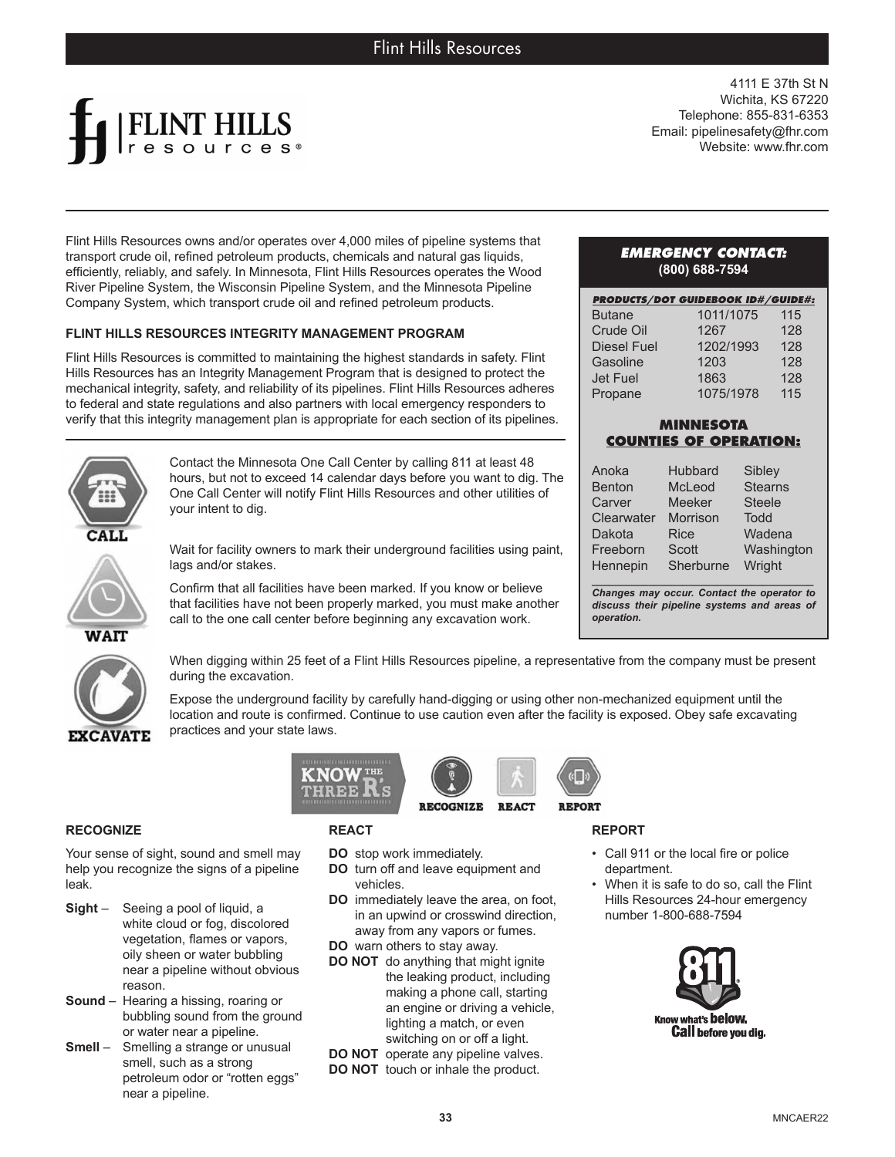

4111 E 37th St N Wichita, KS 67220 Telephone: 855-831-6353 Email: pipelinesafety@fhr.com Website: www.fhr.com

Flint Hills Resources owns and/or operates over 4,000 miles of pipeline systems that transport crude oil, refined petroleum products, chemicals and natural gas liquids, efficiently, reliably, and safely. In Minnesota, Flint Hills Resources operates the Wood River Pipeline System, the Wisconsin Pipeline System, and the Minnesota Pipeline Company System, which transport crude oil and refined petroleum products.

## **FLINT HILLS RESOURCES INTEGRITY MANAGEMENT PROGRAM**

Flint Hills Resources is committed to maintaining the highest standards in safety. Flint Hills Resources has an Integrity Management Program that is designed to protect the mechanical integrity, safety, and reliability of its pipelines. Flint Hills Resources adheres to federal and state regulations and also partners with local emergency responders to verify that this integrity management plan is appropriate for each section of its pipelines.

Contact the Minnesota One Call Center by calling 811 at least 48 hours, but not to exceed 14 calendar days before you want to dig. The One Call Center will notify Flint Hills Resources and other utilities of your intent to dig.



Wait for facility owners to mark their underground facilities using paint, lags and/or stakes.

Confirm that all facilities have been marked. If you know or believe that facilities have not been properly marked, you must make another call to the one call center before beginning any excavation work.



When digging within 25 feet of a Flint Hills Resources pipeline, a representative from the company must be present during the excavation.

Expose the underground facility by carefully hand-digging or using other non-mechanized equipment until the location and route is confirmed. Continue to use caution even after the facility is exposed. Obey safe excavating practices and your state laws.

**REACT** 

## **RECOGNIZE**

Your sense of sight, sound and smell may help you recognize the signs of a pipeline leak.

- **Sight** Seeing a pool of liquid, a white cloud or fog, discolored vegetation, flames or vapors, oily sheen or water bubbling near a pipeline without obvious reason.
- **Sound** Hearing a hissing, roaring or bubbling sound from the ground or water near a pipeline.
- **Smell** Smelling a strange or unusual smell, such as a strong petroleum odor or "rotten eggs" near a pipeline.

## **REACT**

**KNOW THE** 

- **DO** stop work immediately.
- **DO** turn off and leave equipment and vehicles.
- **DO** immediately leave the area, on foot, in an upwind or crosswind direction, away from any vapors or fumes.

**RECOGNIZE** 

- **DO** warn others to stay away.
- **DO NOT** do anything that might ignite the leaking product, including making a phone call, starting an engine or driving a vehicle, lighting a match, or even switching on or off a light.
- **DO NOT** operate any pipeline valves.
- **DO NOT** touch or inhale the product.

#### *EMERGENCY CONTACT:* **(800) 688-7594**

|                    | <b>PRODUCTS/DOT GUIDEBOOK ID#/GUIDE#:</b> |     |
|--------------------|-------------------------------------------|-----|
| <b>Butane</b>      | 1011/1075                                 | 115 |
| Crude Oil          | 1267                                      | 128 |
| <b>Diesel Fuel</b> | 1202/1993                                 | 128 |
| Gasoline           | 1203                                      | 128 |
| Jet Fuel           | 1863                                      | 128 |
| Propane            | 1075/1978                                 | 115 |

# **MINNESOTA COUNTIES OF OPERATION:**

| Anoka         | <b>Hubbard</b> | Sibley         |
|---------------|----------------|----------------|
| <b>Benton</b> | McLeod         | <b>Stearns</b> |
| Carver        | <b>Meeker</b>  | <b>Steele</b>  |
| Clearwater    | Morrison       | Todd           |
| Dakota        | <b>Rice</b>    | Wadena         |
| Freeborn      | <b>Scott</b>   | Washington     |
| Hennepin      | Sherburne      | Wright         |

*\_\_\_\_\_\_\_\_\_\_\_\_\_\_\_\_\_\_\_\_\_\_\_\_\_\_\_\_\_\_\_\_\_\_\_\_\_\_\_ Changes may occur. Contact the operator to discuss their pipeline systems and areas of operation.*

**REPORT**

**REPORT** 

- Call 911 or the local fire or police department.
- When it is safe to do so, call the Flint Hills Resources 24-hour emergency number 1-800-688-7594